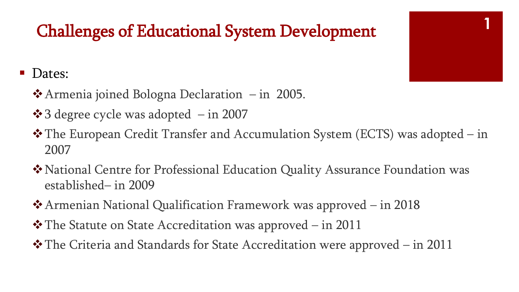## **<sup>1</sup>** Challenges of Educational System Development

#### Dates:

- ❖Armenia joined Bologna Declaration in 2005.
- $\div$  3 degree cycle was adopted  $-$  in 2007
- ❖The European Credit Transfer and Accumulation System (ECTS) was adopted in 2007
- ❖National Centre for Professional Education Quality Assurance Foundation was established– in 2009
- ❖Armenian National Qualification Framework was approved in 2018
- ❖The Statute on State Accreditation was approved in 2011
- ❖The Criteria and Standards for State Accreditation were approved in 2011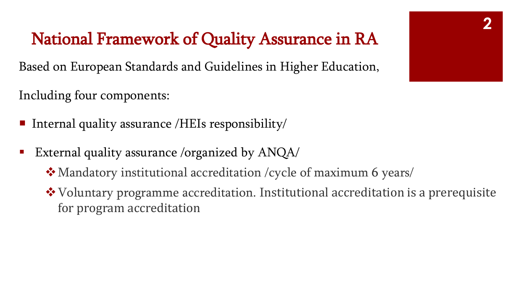### National Framework of Quality Assurance in RA

Based on European Standards and Guidelines in Higher Education,

Including four components:

- **Internal quality assurance /HEIs responsibility/**
- External quality assurance /organized by ANQA/
	- ❖Mandatory institutional accreditation /cycle of maximum 6 years/
	- ❖Voluntary programme accreditation. Institutional accreditation is a prerequisite for program accreditation

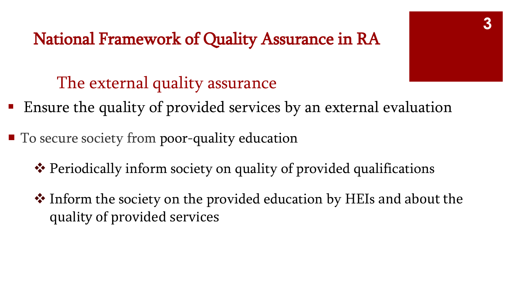National Framework of Quality Assurance in RA

The external quality assurance

- Ensure the quality of provided services by an external evaluation
- To secure society from poor-quality education
	- ❖ Periodically inform society on quality of provided qualifications
	- ❖ Inform the society on the provided education by HEIs and about the quality of provided services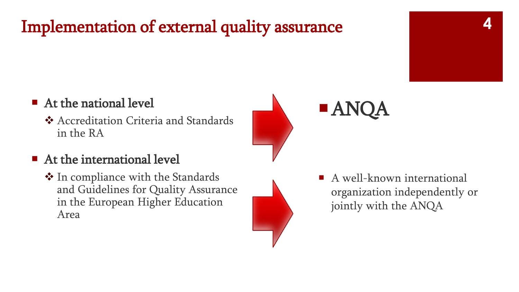## Implementation of external quality assurance



#### ■ At the national level

❖ Accreditation Criteria and Standards in the RA

#### ■ At the international level

❖ In compliance with the Standards and Guidelines for Quality Assurance in the European Higher Education Area



A well-known international organization independently or jointly with the ANQA

ANQA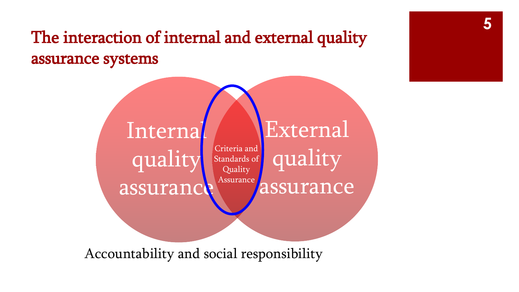### The interaction of internal and external quality assurance systems



Accountability and social responsibility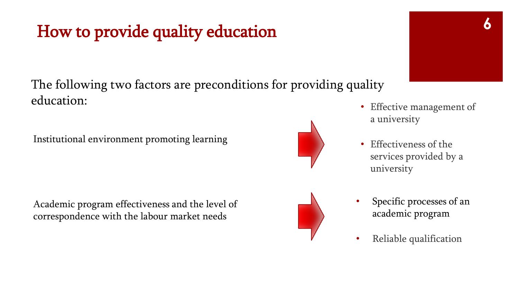## How to provide quality education

The following two factors are preconditions for providing quality education:

Institutional environment promoting learning

Academic program effectiveness and the level of correspondence with the labour market needs

- Effective management of a university
- Effectiveness of the services provided by a university
- Specific processes of an academic program
- Reliable qualification



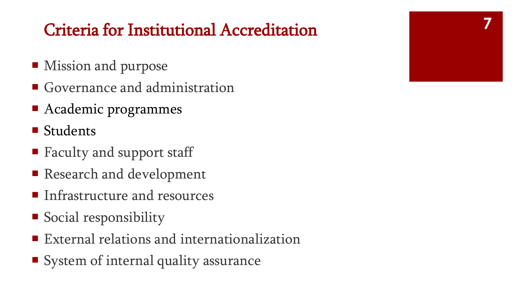## Criteria for Institutional Accreditation

- **Mission and purpose**
- Governance and administration
- Academic programmes
- Students
- Faculty and support staff
- Research and development
- **I** Infrastructure and resources
- Social responsibility
- External relations and internationalization
- System of internal quality assurance

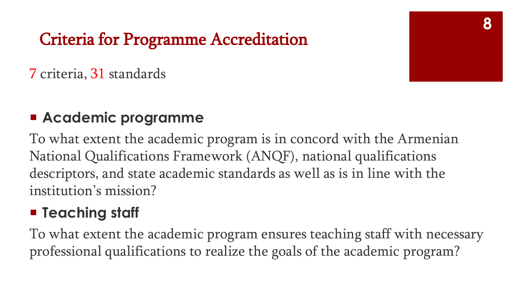## Criteria for Programme Accreditation

#### 7 criteria, 31 standards

#### **Academic programme**

To what extent the academic program is in concord with the Armenian National Qualifications Framework (ANQF), national qualifications descriptors, and state academic standards as well as is in line with the institution's mission?

#### **Teaching staff**

To what extent the academic program ensures teaching staff with necessary professional qualifications to realize the goals of the academic program?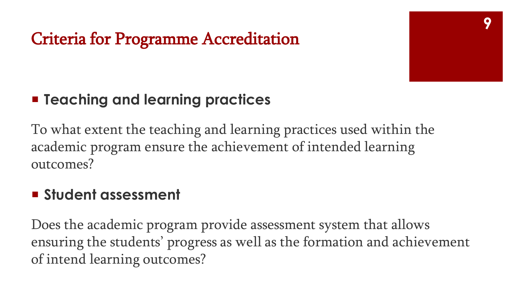

### **Example 1 Feaching and learning practices**

To what extent the teaching and learning practices used within the academic program ensure the achievement of intended learning outcomes?

#### **Student assessment**

Does the academic program provide assessment system that allows ensuring the students' progress as well as the formation and achievement of intend learning outcomes?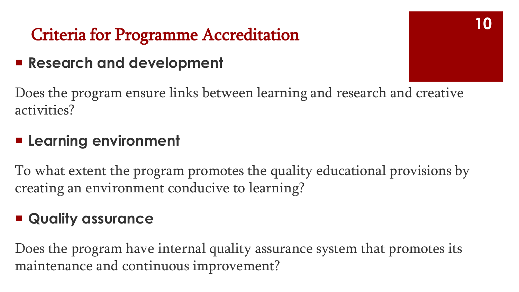## Criteria for Programme Accreditation

#### **Research and development**

Does the program ensure links between learning and research and creative activities?

#### **Learning environment**

To what extent the program promotes the quality educational provisions by creating an environment conducive to learning?

#### **Quality assurance**

Does the program have internal quality assurance system that promotes its maintenance and continuous improvement?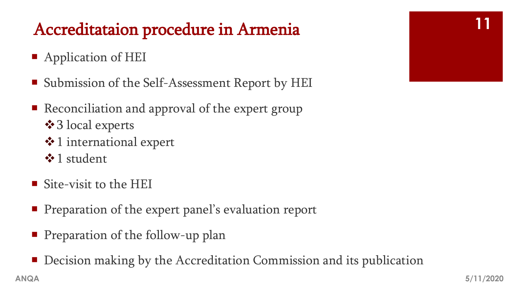## Accreditataion procedure in Armenia

- Application of HEI
- Submission of the Self-Assessment Report by HEI
- Reconciliation and approval of the expert group ❖3 local experts
	- ❖1 international expert
	- ❖1 student
- Site-visit to the HEI
- **Preparation of the expert panel's evaluation report**
- **Preparation of the follow-up plan**
- Decision making by the Accreditation Commission and its publication

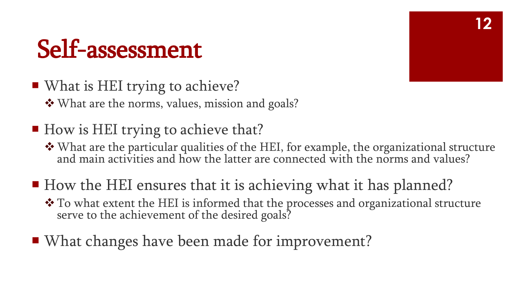## Self-assessment

- What is HEI trying to achieve? ❖What are the norms, values, mission and goals?
- How is HEI trying to achieve that?
	- ❖What are the particular qualities of the HEI, for example, the organizational structure and main activities and how the latter are connected with the norms and values?
- How the HEI ensures that it is achieving what it has planned?
	- ❖ To what extent the HEI is informed that the processes and organizational structure serve to the achievement of the desired goals?
- What changes have been made for improvement?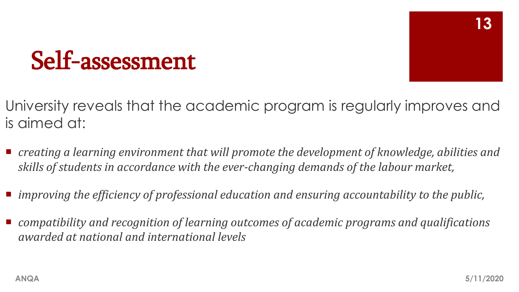## Self-assessment

University reveals that the academic program is regularly improves and is aimed at:

- creating a learning environment that will promote the development of knowledge, abilities and *skills of students in accordance with the ever-changing demands of the labour market,*
- *improving the efficiency of professional education and ensuring accountability to the public,*
- *compatibility and recognition of learning outcomes of academic programs and qualifications awarded at national and international levels*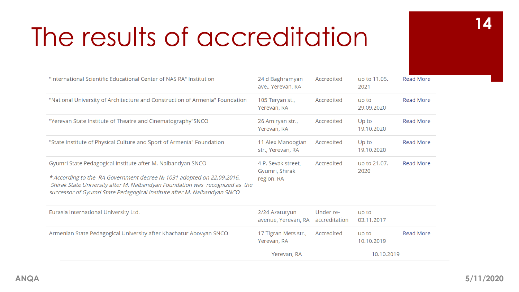| "International Scientific Educational Center of NAS RA" Institution                                                                                                                                                                                                                               | 24 d Baghramyan<br>ave., Yerevan, RA               | Accredited                 | up to 11.05.<br>2021 | <b>Read More</b> |
|---------------------------------------------------------------------------------------------------------------------------------------------------------------------------------------------------------------------------------------------------------------------------------------------------|----------------------------------------------------|----------------------------|----------------------|------------------|
| "National University of Architecture and Construction of Armenia" Foundation                                                                                                                                                                                                                      | 105 Teryan st.,<br>Yerevan, RA                     | Accredited                 | up to<br>29.09.2020  | <b>Read More</b> |
| "Yerevan State Institute of Theatre and Cinematography"SNCO                                                                                                                                                                                                                                       | 26 Amiryan str.,<br>Yerevan, RA                    | Accredited                 | Up to<br>19.10.2020  | <b>Read More</b> |
| "State Institute of Physical Culture and Sport of Armenia" Foundation                                                                                                                                                                                                                             | 11 Alex Manoogian<br>str., Yerevan, RA             | Accredited                 | Up to<br>19.10.2020  | <b>Read More</b> |
| Gyumri State Pedagogical Institute after M. Nalbandyan SNCO<br>* According to the RA Government decree No 1031 adopted on 22.09.2016,<br>Shirak State University after M. Nalbandyan Foundation was recognized as the<br>successor of Gyumri State Pedagogical Institute after M. Nalbandyan SNCO | 4 P. Sevak street.<br>Gyumri, Shirak<br>region, RA | Accredited                 | up to 21.07.<br>2020 | <b>Read More</b> |
| Eurasia International University Ltd.                                                                                                                                                                                                                                                             | 2/24 Azatutyun<br>avenue, Yerevan, RA              | Under re-<br>accreditation | up to<br>03.11.2017  |                  |
| Armenian State Pedagogical University after Khachatur Abovyan SNCO                                                                                                                                                                                                                                | 17 Tigran Mets str.,<br>Yerevan, RA                | Accredited                 | up to<br>10.10.2019  | <b>Read More</b> |
|                                                                                                                                                                                                                                                                                                   | Yerevan, RA                                        |                            | 10.10.2019           |                  |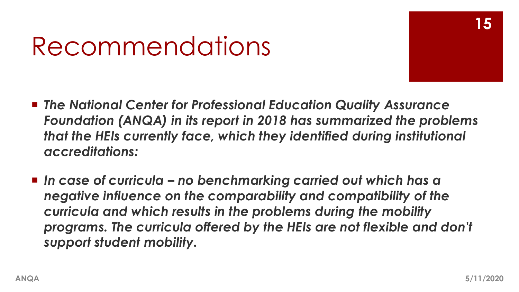## Recommendations

- *The National Center for Professional Education Quality Assurance Foundation (ANQA) in its report in 2018 has summarized the problems that the HEIs currently face, which they identified during institutional accreditations:*
- *In case of curricula – no benchmarking carried out which has a negative influence on the comparability and compatibility of the curricula and which results in the problems during the mobility programs. The curricula offered by the HEIs are not flexible and don't support student mobility.*

**15**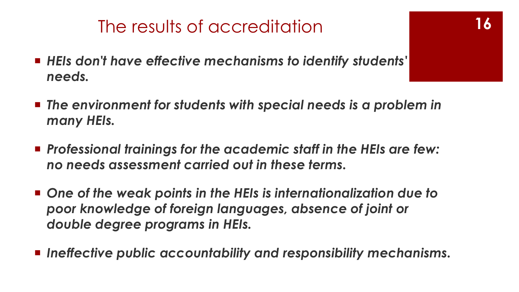- *HEIs don't have effective mechanisms to identify students' needs.*
- *The environment for students with special needs is a problem in many HEIs.*
- *Professional trainings for the academic staff in the HEIs are few: no needs assessment carried out in these terms.*
- One of the weak points in the HEIs is internationalization due to *poor knowledge of foreign languages, absence of joint or double degree programs in HEIs.*
- *Ineffective public accountability and responsibility mechanisms.*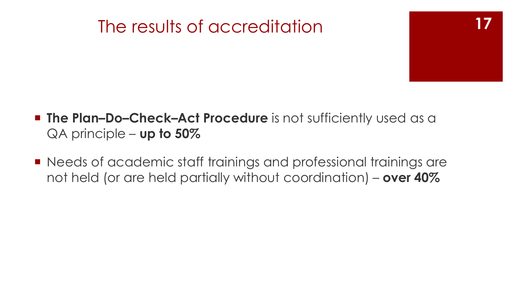- **17**
- **The Plan-Do-Check-Act Procedure** is not sufficiently used as a QA principle – **up to 50%**
- Needs of academic staff trainings and professional trainings are not held (or are held partially without coordination) – **over 40%**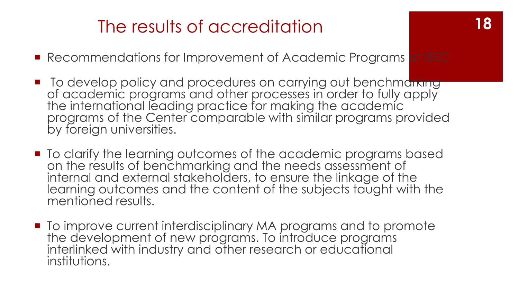- Recommendations for Improvement of Academic Programs at ISEC
- To develop policy and procedures on carrying out benchmarking of academic programs and other processes in order to fully apply the international leading practice for making the academic programs of the Center comparable with similar programs provided by foreign universities.
- To clarify the learning outcomes of the academic programs based on the results of benchmarking and the needs assessment of internal and external stakeholders, to ensure the linkage of the learning outcomes and the content of the subjects taught with the mentioned results.
- **To improve current interdisciplinary MA programs and to promote** the development of new programs. To introduce programs interlinked with industry and other research or educational institutions.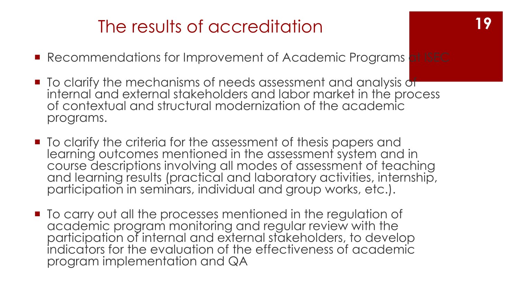- Recommendations for Improvement of Academic Programs at ISEC
- **T** To clarify the mechanisms of needs assessment and analysis of internal and external stakeholders and labor market in the process of contextual and structural modernization of the academic programs.
- **The Constantial Times is example The I** To clarify the criteria for the assessment of thesis papers and learning outcomes mentioned in the assessment system and in course descriptions involving all modes of assessment of teaching and learning results (practical and laboratory activities, internship, participation in seminars, individual and group works, etc.).
- To carry out all the processes mentioned in the regulation of academic program monitoring and regular review with the participation of internal and external stakeholders, to develop indicators for the evaluation of the effectiveness of academic program implementation and QA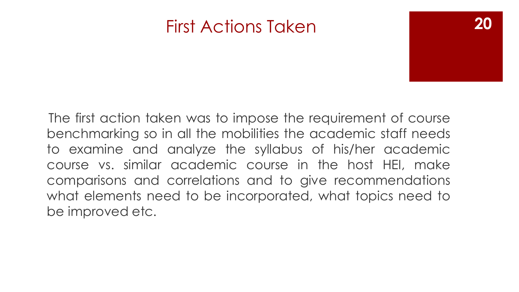### First Actions Taken

The first action taken was to impose the requirement of course benchmarking so in all the mobilities the academic staff needs to examine and analyze the syllabus of his/her academic course vs. similar academic course in the host HEI, make comparisons and correlations and to give recommendations what elements need to be incorporated, what topics need to be improved etc.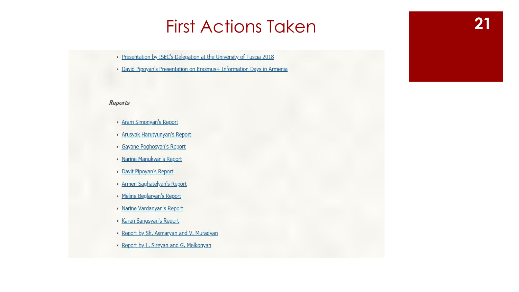## First Actions Taken **21**

• Presentation by ISEC's Delegation at the University of Tuscia 2018

• David Pipoyan's Presentation on Erasmus+ Information Days in Armenia

#### **Reports**

- Aram Simonyan's Report
- Arusyak Harutyunyan's Report
- · Gayane Poghosyan's Report
- Narine Manukyan's Report
- · Davit Pipoyan's Report
- · Armen Saghatelyan's Report
- Meline Beglaryan's Report
- Narine Vardanyan's Report
- · Karen Sangsyan's Report
- Report by Sh. Asmaryan and V. Muradyan
- Report by L. Sireyan and G. Melkonyan